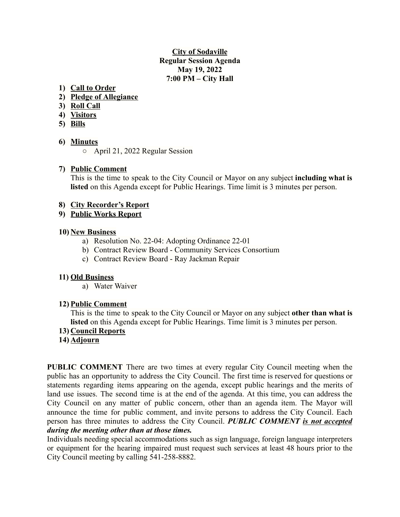### **City of Sodaville Regular Session Agenda May 19, 2022 7:00 PM – City Hall**

### **1) Call to Order**

- **2) Pledge of Allegiance**
- **3) Roll Call**
- **4) Visitors**
- **5) Bills**

#### **6) Minutes**

○ April 21, 2022 Regular Session

#### **7) Public Comment**

This is the time to speak to the City Council or Mayor on any subject **including what is listed** on this Agenda except for Public Hearings. Time limit is 3 minutes per person.

#### **8) City Recorder's Report**

#### **9) Public Works Report**

#### **10) New Business**

- a) Resolution No. 22-04: Adopting Ordinance 22-01
- b) Contract Review Board Community Services Consortium
- c) Contract Review Board Ray Jackman Repair

### **11) Old Business**

a) Water Waiver

#### **12) Public Comment**

This is the time to speak to the City Council or Mayor on any subject **other than what is listed** on this Agenda except for Public Hearings. Time limit is 3 minutes per person.

#### **13) Council Reports**

#### **14) Adjourn**

**PUBLIC COMMENT** There are two times at every regular City Council meeting when the public has an opportunity to address the City Council. The first time is reserved for questions or statements regarding items appearing on the agenda, except public hearings and the merits of land use issues. The second time is at the end of the agenda. At this time, you can address the City Council on any matter of public concern, other than an agenda item. The Mayor will announce the time for public comment, and invite persons to address the City Council. Each person has three minutes to address the City Council. *PUBLIC COMMENT is not accepted during the meeting other than at those times.*

Individuals needing special accommodations such as sign language, foreign language interpreters or equipment for the hearing impaired must request such services at least 48 hours prior to the City Council meeting by calling 541-258-8882.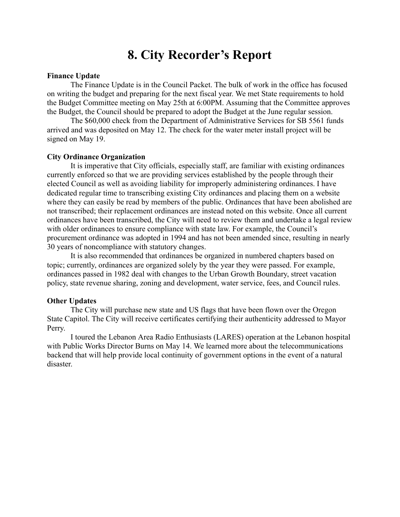## **8. City Recorder's Report**

#### **Finance Update**

The Finance Update is in the Council Packet. The bulk of work in the office has focused on writing the budget and preparing for the next fiscal year. We met State requirements to hold the Budget Committee meeting on May 25th at 6:00PM. Assuming that the Committee approves the Budget, the Council should be prepared to adopt the Budget at the June regular session.

The \$60,000 check from the Department of Administrative Services for SB 5561 funds arrived and was deposited on May 12. The check for the water meter install project will be signed on May 19.

#### **City Ordinance Organization**

It is imperative that City officials, especially staff, are familiar with existing ordinances currently enforced so that we are providing services established by the people through their elected Council as well as avoiding liability for improperly administering ordinances. I have dedicated regular time to transcribing existing City ordinances and placing them on a website where they can easily be read by members of the public. Ordinances that have been abolished are not transcribed; their replacement ordinances are instead noted on this website. Once all current ordinances have been transcribed, the City will need to review them and undertake a legal review with older ordinances to ensure compliance with state law. For example, the Council's procurement ordinance was adopted in 1994 and has not been amended since, resulting in nearly 30 years of noncompliance with statutory changes.

It is also recommended that ordinances be organized in numbered chapters based on topic; currently, ordinances are organized solely by the year they were passed. For example, ordinances passed in 1982 deal with changes to the Urban Growth Boundary, street vacation policy, state revenue sharing, zoning and development, water service, fees, and Council rules.

#### **Other Updates**

The City will purchase new state and US flags that have been flown over the Oregon State Capitol. The City will receive certificates certifying their authenticity addressed to Mayor Perry.

I toured the Lebanon Area Radio Enthusiasts (LARES) operation at the Lebanon hospital with Public Works Director Burns on May 14. We learned more about the telecommunications backend that will help provide local continuity of government options in the event of a natural disaster.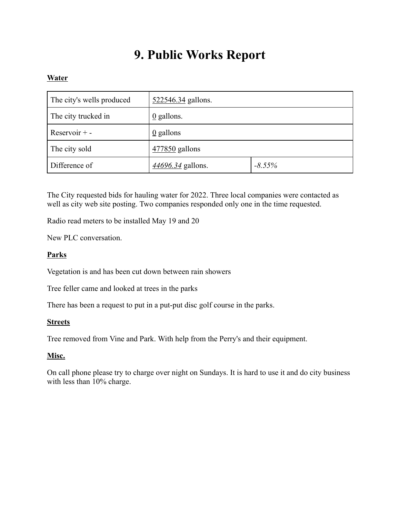# **9. Public Works Report**

## **Water**

| The city's wells produced | 522546.34 gallons.       |           |
|---------------------------|--------------------------|-----------|
| The city trucked in       | $\underline{0}$ gallons. |           |
| Reservoir $+$ -           | $\underline{0}$ gallons  |           |
| The city sold             | 477850 gallons           |           |
| Difference of             | 44696.34 gallons.        | $-8.55\%$ |

The City requested bids for hauling water for 2022. Three local companies were contacted as well as city web site posting. Two companies responded only one in the time requested.

Radio read meters to be installed May 19 and 20

New PLC conversation.

## **Parks**

Vegetation is and has been cut down between rain showers

Tree feller came and looked at trees in the parks

There has been a request to put in a put-put disc golf course in the parks.

### **Streets**

Tree removed from Vine and Park. With help from the Perry's and their equipment.

### **Misc.**

On call phone please try to charge over night on Sundays. It is hard to use it and do city business with less than 10% charge.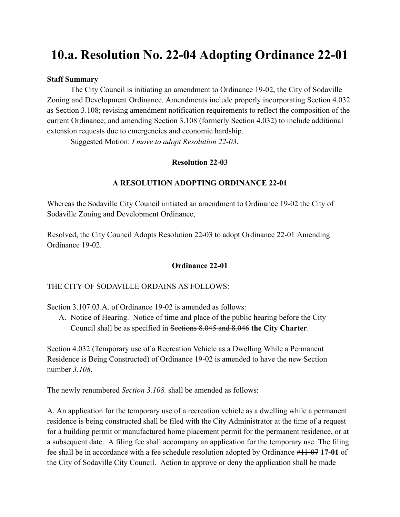# **10.a. Resolution No. 22-04 Adopting Ordinance 22-01**

#### **Staff Summary**

The City Council is initiating an amendment to Ordinance 19-02, the City of Sodaville Zoning and Development Ordinance. Amendments include properly incorporating Section 4.032 as Section 3.108; revising amendment notification requirements to reflect the composition of the current Ordinance; and amending Section 3.108 (formerly Section 4.032) to include additional extension requests due to emergencies and economic hardship.

Suggested Motion: *I move to adopt Resolution 22-03*.

#### **Resolution 22-03**

#### **A RESOLUTION ADOPTING ORDINANCE 22-01**

Whereas the Sodaville City Council initiated an amendment to Ordinance 19-02 the City of Sodaville Zoning and Development Ordinance,

Resolved, the City Council Adopts Resolution 22-03 to adopt Ordinance 22-01 Amending Ordinance 19-02.

#### **Ordinance 22-01**

#### THE CITY OF SODAVILLE ORDAINS AS FOLLOWS:

Section 3.107.03.A. of Ordinance 19-02 is amended as follows:

A. Notice of Hearing. Notice of time and place of the public hearing before the City Council shall be as specified in Sections 8.045 and 8.046 **the City Charter**.

Section 4.032 (Temporary use of a Recreation Vehicle as a Dwelling While a Permanent Residence is Being Constructed) of Ordinance 19-02 is amended to have the new Section number *3.108*.

The newly renumbered *Section 3.108.* shall be amended as follows:

A. An application for the temporary use of a recreation vehicle as a dwelling while a permanent residence is being constructed shall be filed with the City Administrator at the time of a request for a building permit or manufactured home placement permit for the permanent residence, or at a subsequent date. A filing fee shall accompany an application for the temporary use. The filing fee shall be in accordance with a fee schedule resolution adopted by Ordinance #11-07 **17-01** of the City of Sodaville City Council. Action to approve or deny the application shall be made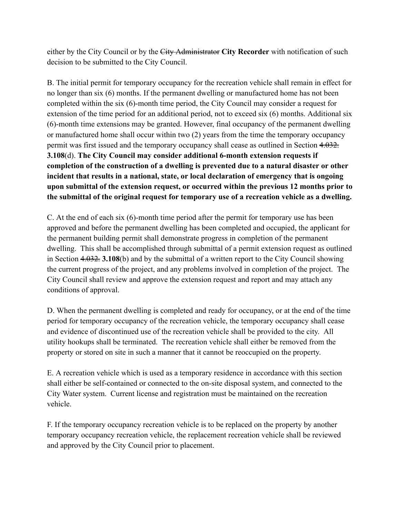either by the City Council or by the City Administrator **City Recorder** with notification of such decision to be submitted to the City Council.

B. The initial permit for temporary occupancy for the recreation vehicle shall remain in effect for no longer than six (6) months. If the permanent dwelling or manufactured home has not been completed within the six (6)-month time period, the City Council may consider a request for extension of the time period for an additional period, not to exceed six (6) months. Additional six (6)-month time extensions may be granted. However, final occupancy of the permanent dwelling or manufactured home shall occur within two (2) years from the time the temporary occupancy permit was first issued and the temporary occupancy shall cease as outlined in Section 4.032. **3.108**(d). **The City Council may consider additional 6-month extension requests if completion of the construction of a dwelling is prevented due to a natural disaster or other incident that results in a national, state, or local declaration of emergency that is ongoing upon submittal of the extension request, or occurred within the previous 12 months prior to the submittal of the original request for temporary use of a recreation vehicle as a dwelling.**

C. At the end of each six (6)-month time period after the permit for temporary use has been approved and before the permanent dwelling has been completed and occupied, the applicant for the permanent building permit shall demonstrate progress in completion of the permanent dwelling. This shall be accomplished through submittal of a permit extension request as outlined in Section 4.032. **3.108**(b) and by the submittal of a written report to the City Council showing the current progress of the project, and any problems involved in completion of the project. The City Council shall review and approve the extension request and report and may attach any conditions of approval.

D. When the permanent dwelling is completed and ready for occupancy, or at the end of the time period for temporary occupancy of the recreation vehicle, the temporary occupancy shall cease and evidence of discontinued use of the recreation vehicle shall be provided to the city. All utility hookups shall be terminated. The recreation vehicle shall either be removed from the property or stored on site in such a manner that it cannot be reoccupied on the property.

E. A recreation vehicle which is used as a temporary residence in accordance with this section shall either be self-contained or connected to the on-site disposal system, and connected to the City Water system. Current license and registration must be maintained on the recreation vehicle.

F. If the temporary occupancy recreation vehicle is to be replaced on the property by another temporary occupancy recreation vehicle, the replacement recreation vehicle shall be reviewed and approved by the City Council prior to placement.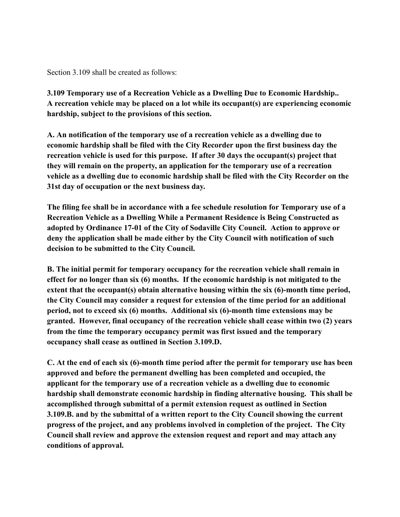Section 3.109 shall be created as follows:

**3.109 Temporary use of a Recreation Vehicle as a Dwelling Due to Economic Hardship.. A recreation vehicle may be placed on a lot while its occupant(s) are experiencing economic hardship, subject to the provisions of this section.**

**A. An notification of the temporary use of a recreation vehicle as a dwelling due to economic hardship shall be filed with the City Recorder upon the first business day the recreation vehicle is used for this purpose. If after 30 days the occupant(s) project that they will remain on the property, an application for the temporary use of a recreation vehicle as a dwelling due to economic hardship shall be filed with the City Recorder on the 31st day of occupation or the next business day.**

**The filing fee shall be in accordance with a fee schedule resolution for Temporary use of a Recreation Vehicle as a Dwelling While a Permanent Residence is Being Constructed as adopted by Ordinance 17-01 of the City of Sodaville City Council. Action to approve or deny the application shall be made either by the City Council with notification of such decision to be submitted to the City Council.**

**B. The initial permit for temporary occupancy for the recreation vehicle shall remain in effect for no longer than six (6) months. If the economic hardship is not mitigated to the extent that the occupant(s) obtain alternative housing within the six (6)-month time period, the City Council may consider a request for extension of the time period for an additional period, not to exceed six (6) months. Additional six (6)-month time extensions may be granted. However, final occupancy of the recreation vehicle shall cease within two (2) years from the time the temporary occupancy permit was first issued and the temporary occupancy shall cease as outlined in Section 3.109.D.**

**C. At the end of each six (6)-month time period after the permit for temporary use has been approved and before the permanent dwelling has been completed and occupied, the applicant for the temporary use of a recreation vehicle as a dwelling due to economic hardship shall demonstrate economic hardship in finding alternative housing. This shall be accomplished through submittal of a permit extension request as outlined in Section 3.109.B. and by the submittal of a written report to the City Council showing the current progress of the project, and any problems involved in completion of the project. The City Council shall review and approve the extension request and report and may attach any conditions of approval.**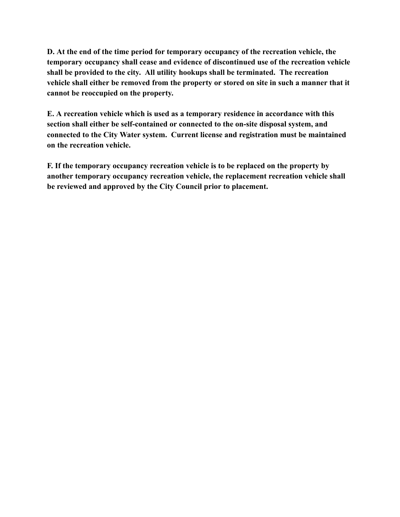**D. At the end of the time period for temporary occupancy of the recreation vehicle, the temporary occupancy shall cease and evidence of discontinued use of the recreation vehicle shall be provided to the city. All utility hookups shall be terminated. The recreation vehicle shall either be removed from the property or stored on site in such a manner that it cannot be reoccupied on the property.**

**E. A recreation vehicle which is used as a temporary residence in accordance with this section shall either be self-contained or connected to the on-site disposal system, and connected to the City Water system. Current license and registration must be maintained on the recreation vehicle.**

**F. If the temporary occupancy recreation vehicle is to be replaced on the property by another temporary occupancy recreation vehicle, the replacement recreation vehicle shall be reviewed and approved by the City Council prior to placement.**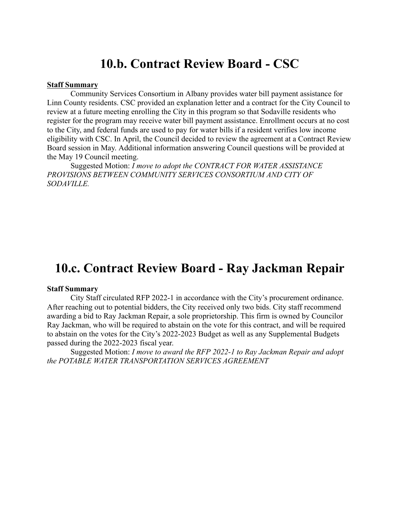## **10.b. Contract Review Board - CSC**

#### **Staff Summary**

Community Services Consortium in Albany provides water bill payment assistance for Linn County residents. CSC provided an explanation letter and a contract for the City Council to review at a future meeting enrolling the City in this program so that Sodaville residents who register for the program may receive water bill payment assistance. Enrollment occurs at no cost to the City, and federal funds are used to pay for water bills if a resident verifies low income eligibility with CSC. In April, the Council decided to review the agreement at a Contract Review Board session in May. Additional information answering Council questions will be provided at the May 19 Council meeting.

Suggested Motion: *I move to adopt the CONTRACT FOR WATER ASSISTANCE PROVISIONS BETWEEN COMMUNITY SERVICES CONSORTIUM AND CITY OF SODAVILLE.*

## **10.c. Contract Review Board - Ray Jackman Repair**

#### **Staff Summary**

City Staff circulated RFP 2022-1 in accordance with the City's procurement ordinance. After reaching out to potential bidders, the City received only two bids. City staff recommend awarding a bid to Ray Jackman Repair, a sole proprietorship. This firm is owned by Councilor Ray Jackman, who will be required to abstain on the vote for this contract, and will be required to abstain on the votes for the City's 2022-2023 Budget as well as any Supplemental Budgets passed during the 2022-2023 fiscal year.

Suggested Motion: *I move to award the RFP 2022-1 to Ray Jackman Repair and adopt the POTABLE WATER TRANSPORTATION SERVICES AGREEMENT*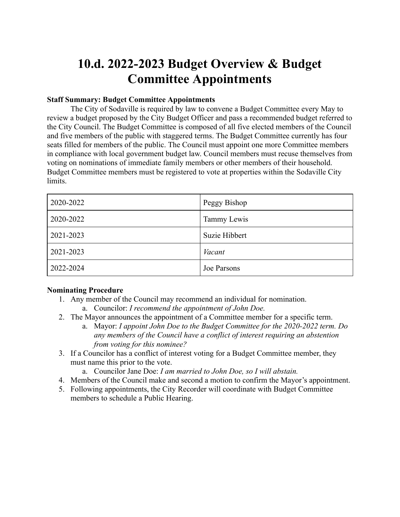# **10.d. 2022-2023 Budget Overview & Budget Committee Appointments**

## **Staff Summary: Budget Committee Appointments**

The City of Sodaville is required by law to convene a Budget Committee every May to review a budget proposed by the City Budget Officer and pass a recommended budget referred to the City Council. The Budget Committee is composed of all five elected members of the Council and five members of the public with staggered terms. The Budget Committee currently has four seats filled for members of the public. The Council must appoint one more Committee members in compliance with local government budget law. Council members must recuse themselves from voting on nominations of immediate family members or other members of their household. Budget Committee members must be registered to vote at properties within the Sodaville City limits.

| 2020-2022 | Peggy Bishop  |
|-----------|---------------|
| 2020-2022 | Tammy Lewis   |
| 2021-2023 | Suzie Hibbert |
| 2021-2023 | Vacant        |
| 2022-2024 | Joe Parsons   |

### **Nominating Procedure**

- 1. Any member of the Council may recommend an individual for nomination.
	- a. Councilor: *I recommend the appointment of John Doe.*
- 2. The Mayor announces the appointment of a Committee member for a specific term.
	- a. Mayor: *I appoint John Doe to the Budget Committee for the 2020-2022 term. Do any members of the Council have a conflict of interest requiring an abstention from voting for this nominee?*
- 3. If a Councilor has a conflict of interest voting for a Budget Committee member, they must name this prior to the vote.
	- a. Councilor Jane Doe: *I am married to John Doe, so I will abstain.*
- 4. Members of the Council make and second a motion to confirm the Mayor's appointment.
- 5. Following appointments, the City Recorder will coordinate with Budget Committee members to schedule a Public Hearing.